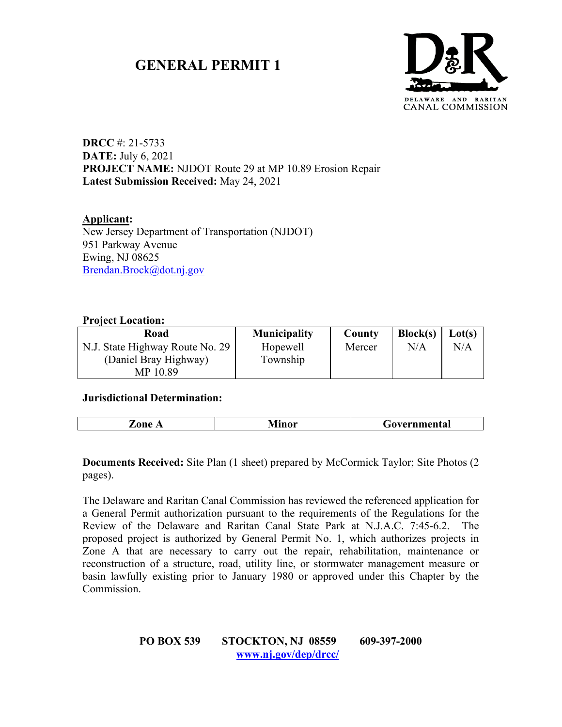# **GENERAL PERMIT 1**



**DRCC** #: 21-5733 **DATE:** July 6, 2021 **PROJECT NAME:** NJDOT Route 29 at MP 10.89 Erosion Repair **Latest Submission Received:** May 24, 2021

**Applicant:** New Jersey Department of Transportation (NJDOT) 951 Parkway Avenue Ewing, NJ 08625 [Brendan.Brock@dot.nj.gov](mailto:Brendan.Brock@dot.nj.gov)

# **Project Location:**

| Road                            | <b>Municipality</b> | County | <b>Block(s)</b> | Lot(s) |
|---------------------------------|---------------------|--------|-----------------|--------|
| N.J. State Highway Route No. 29 | Hopewell            | Mercer | N/A             | N/A    |
| (Daniel Bray Highway)           | Township            |        |                 |        |
| MP 10.89                        |                     |        |                 |        |

#### **Jurisdictional Determination:**

**Documents Received:** Site Plan (1 sheet) prepared by McCormick Taylor; Site Photos (2 pages).

The Delaware and Raritan Canal Commission has reviewed the referenced application for a General Permit authorization pursuant to the requirements of the Regulations for the Review of the Delaware and Raritan Canal State Park at N.J.A.C. 7:45-6.2. The proposed project is authorized by General Permit No. 1, which authorizes projects in Zone A that are necessary to carry out the repair, rehabilitation, maintenance or reconstruction of a structure, road, utility line, or stormwater management measure or basin lawfully existing prior to January 1980 or approved under this Chapter by the Commission.

# **PO BOX 539 STOCKTON, NJ 08559 609-397-2000 [www.nj.gov/dep/drcc/](http://www.nj.gov/dep/drcc/)**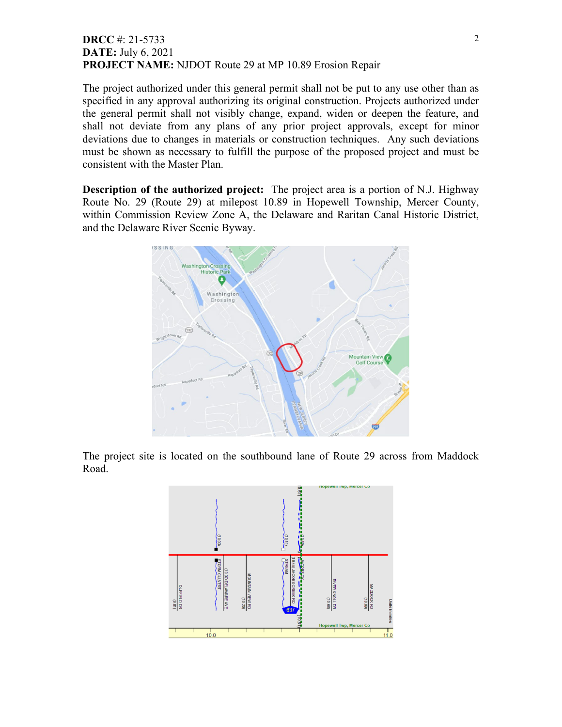# **DRCC** #: 21-5733 **DATE:** July 6, 2021 **PROJECT NAME:** NJDOT Route 29 at MP 10.89 Erosion Repair

The project authorized under this general permit shall not be put to any use other than as specified in any approval authorizing its original construction. Projects authorized under the general permit shall not visibly change, expand, widen or deepen the feature, and shall not deviate from any plans of any prior project approvals, except for minor deviations due to changes in materials or construction techniques. Any such deviations must be shown as necessary to fulfill the purpose of the proposed project and must be consistent with the Master Plan.

**Description of the authorized project:** The project area is a portion of N.J. Highway Route No. 29 (Route 29) at milepost 10.89 in Hopewell Township, Mercer County, within Commission Review Zone A, the Delaware and Raritan Canal Historic District, and the Delaware River Scenic Byway.



The project site is located on the southbound lane of Route 29 across from Maddock Road.

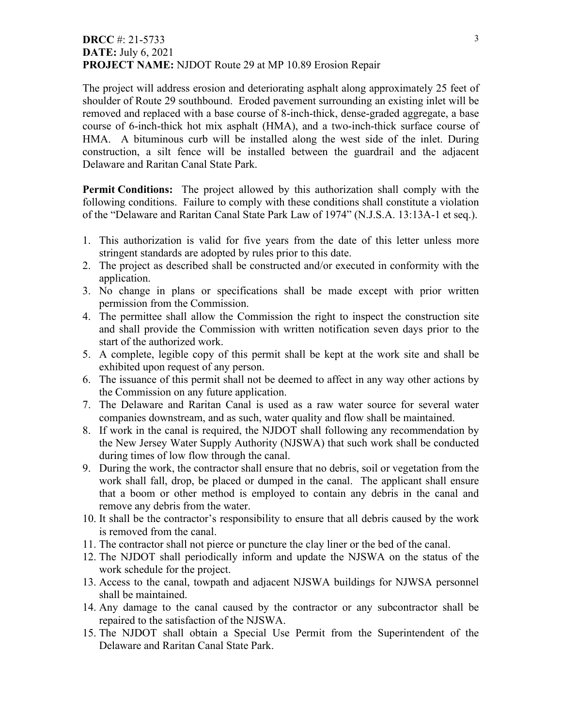# **DRCC** #: 21-5733 **DATE:** July 6, 2021 **PROJECT NAME:** NJDOT Route 29 at MP 10.89 Erosion Repair

The project will address erosion and deteriorating asphalt along approximately 25 feet of shoulder of Route 29 southbound. Eroded pavement surrounding an existing inlet will be removed and replaced with a base course of 8-inch-thick, dense-graded aggregate, a base course of 6-inch-thick hot mix asphalt (HMA), and a two-inch-thick surface course of HMA. A bituminous curb will be installed along the west side of the inlet. During construction, a silt fence will be installed between the guardrail and the adjacent Delaware and Raritan Canal State Park.

**Permit Conditions:** The project allowed by this authorization shall comply with the following conditions. Failure to comply with these conditions shall constitute a violation of the "Delaware and Raritan Canal State Park Law of 1974" (N.J.S.A. 13:13A-1 et seq.).

- 1. This authorization is valid for five years from the date of this letter unless more stringent standards are adopted by rules prior to this date.
- 2. The project as described shall be constructed and/or executed in conformity with the application.
- 3. No change in plans or specifications shall be made except with prior written permission from the Commission.
- 4. The permittee shall allow the Commission the right to inspect the construction site and shall provide the Commission with written notification seven days prior to the start of the authorized work.
- 5. A complete, legible copy of this permit shall be kept at the work site and shall be exhibited upon request of any person.
- 6. The issuance of this permit shall not be deemed to affect in any way other actions by the Commission on any future application.
- 7. The Delaware and Raritan Canal is used as a raw water source for several water companies downstream, and as such, water quality and flow shall be maintained.
- 8. If work in the canal is required, the NJDOT shall following any recommendation by the New Jersey Water Supply Authority (NJSWA) that such work shall be conducted during times of low flow through the canal.
- 9. During the work, the contractor shall ensure that no debris, soil or vegetation from the work shall fall, drop, be placed or dumped in the canal. The applicant shall ensure that a boom or other method is employed to contain any debris in the canal and remove any debris from the water.
- 10. It shall be the contractor's responsibility to ensure that all debris caused by the work is removed from the canal.
- 11. The contractor shall not pierce or puncture the clay liner or the bed of the canal.
- 12. The NJDOT shall periodically inform and update the NJSWA on the status of the work schedule for the project.
- 13. Access to the canal, towpath and adjacent NJSWA buildings for NJWSA personnel shall be maintained.
- 14. Any damage to the canal caused by the contractor or any subcontractor shall be repaired to the satisfaction of the NJSWA.
- 15. The NJDOT shall obtain a Special Use Permit from the Superintendent of the Delaware and Raritan Canal State Park.